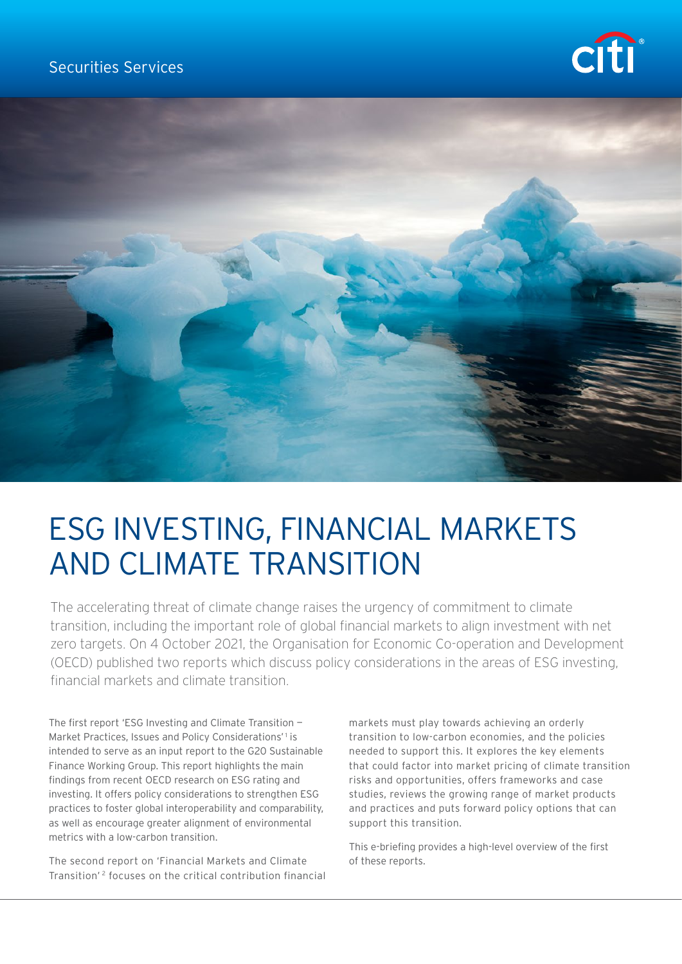## Securities Services





# ESG INVESTING, FINANCIAL MARKETS AND CLIMATE TRANSITION

The accelerating threat of climate change raises the urgency of commitment to climate transition, including the important role of global financial markets to align investment with net zero targets. On 4 October 2021, the Organisation for Economic Co-operation and Development (OECD) published two reports which discuss policy considerations in the areas of ESG investing, financial markets and climate transition.

The first report 'ESG Investing and Climate Transition — Market Practices, Issues and Policy Considerations<sup>'1</sup> is intended to serve as an input report to the G20 Sustainable Finance Working Group. This report highlights the main findings from recent OECD research on ESG rating and investing. It offers policy considerations to strengthen ESG practices to foster global interoperability and comparability, as well as encourage greater alignment of environmental metrics with a low-carbon transition.

The second report on 'Financial Markets and Climate Transition' 2 focuses on the critical contribution financial markets must play towards achieving an orderly transition to low-carbon economies, and the policies needed to support this. It explores the key elements that could factor into market pricing of climate transition risks and opportunities, offers frameworks and case studies, reviews the growing range of market products and practices and puts forward policy options that can support this transition.

This e-briefing provides a high-level overview of the first of these reports.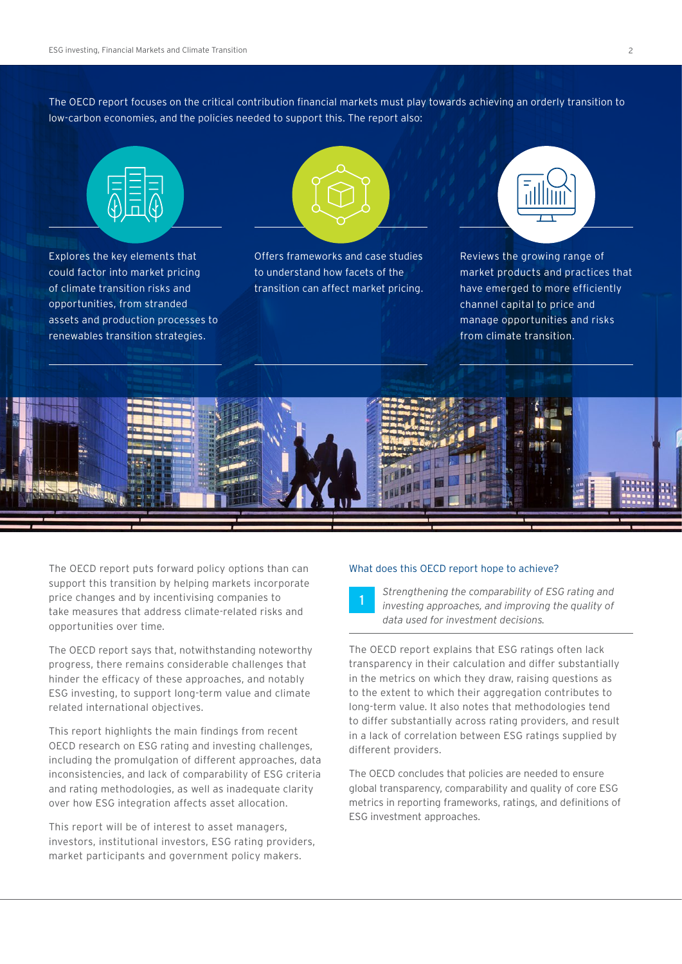The OECD report focuses on the critical contribution financial markets must play towards achieving an orderly transition to low-carbon economies, and the policies needed to support this. The report also:



Explores the key elements that could factor into market pricing of climate transition risks and opportunities, from stranded assets and production processes to renewables transition strategies.



Offers frameworks and case studies to understand how facets of the transition can affect market pricing.



Reviews the growing range of market products and practices that have emerged to more efficiently channel capital to price and manage opportunities and risks from climate transition.



The OECD report puts forward policy options than can support this transition by helping markets incorporate price changes and by incentivising companies to take measures that address climate-related risks and opportunities over time.

The OECD report says that, notwithstanding noteworthy progress, there remains considerable challenges that hinder the efficacy of these approaches, and notably ESG investing, to support long-term value and climate related international objectives.

This report highlights the main findings from recent OECD research on ESG rating and investing challenges, including the promulgation of different approaches, data inconsistencies, and lack of comparability of ESG criteria and rating methodologies, as well as inadequate clarity over how ESG integration affects asset allocation.

This report will be of interest to asset managers, investors, institutional investors, ESG rating providers, market participants and government policy makers.

#### What does this OECD report hope to achieve?

<sup>1</sup> *Strengthening the comparability of ESG rating and investing approaches, and improving the quality of data used for investment decisions.* 

The OECD report explains that ESG ratings often lack transparency in their calculation and differ substantially in the metrics on which they draw, raising questions as to the extent to which their aggregation contributes to long-term value. It also notes that methodologies tend to differ substantially across rating providers, and result in a lack of correlation between ESG ratings supplied by different providers.

The OECD concludes that policies are needed to ensure global transparency, comparability and quality of core ESG metrics in reporting frameworks, ratings, and definitions of ESG investment approaches.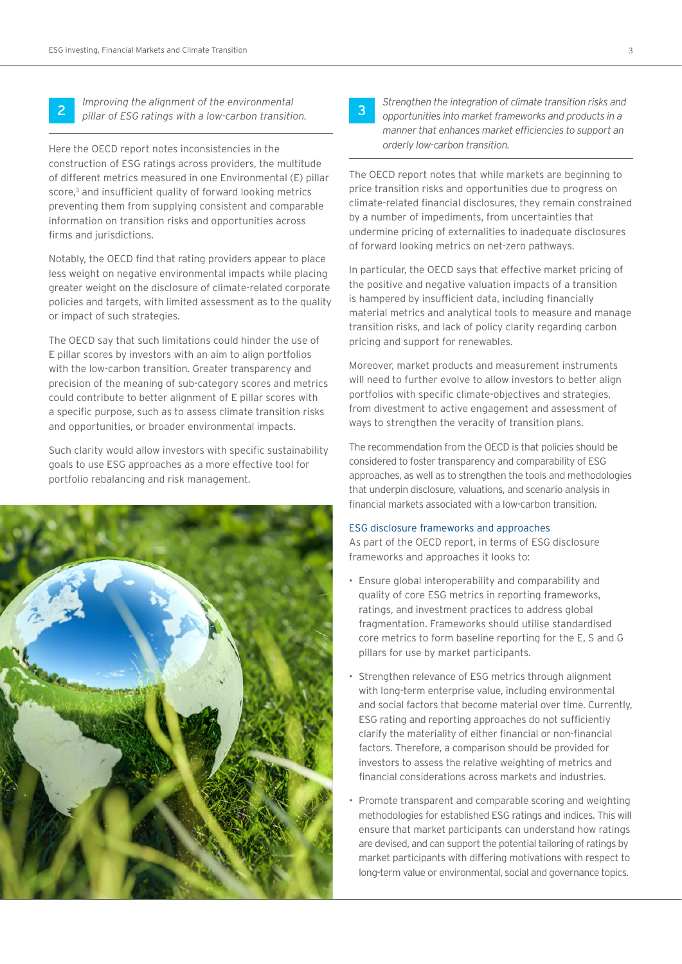<sup>2</sup> *Improving the alignment of the environmental pillar of ESG ratings with a low-carbon transition.* 

Here the OECD report notes inconsistencies in the construction of ESG ratings across providers, the multitude of different metrics measured in one Environmental (E) pillar score,<sup>3</sup> and insufficient quality of forward looking metrics preventing them from supplying consistent and comparable information on transition risks and opportunities across firms and jurisdictions.

Notably, the OECD find that rating providers appear to place less weight on negative environmental impacts while placing greater weight on the disclosure of climate-related corporate policies and targets, with limited assessment as to the quality or impact of such strategies.

The OECD say that such limitations could hinder the use of E pillar scores by investors with an aim to align portfolios with the low-carbon transition. Greater transparency and precision of the meaning of sub-category scores and metrics could contribute to better alignment of E pillar scores with a specific purpose, such as to assess climate transition risks and opportunities, or broader environmental impacts.

Such clarity would allow investors with specific sustainability goals to use ESG approaches as a more effective tool for portfolio rebalancing and risk management.



<sup>3</sup> *Strengthen the integration of climate transition risks and opportunities into market frameworks and products in a manner that enhances market efficiencies to support an orderly low-carbon transition.* 

The OECD report notes that while markets are beginning to price transition risks and opportunities due to progress on climate-related financial disclosures, they remain constrained by a number of impediments, from uncertainties that undermine pricing of externalities to inadequate disclosures of forward looking metrics on net-zero pathways.

In particular, the OECD says that effective market pricing of the positive and negative valuation impacts of a transition is hampered by insufficient data, including financially material metrics and analytical tools to measure and manage transition risks, and lack of policy clarity regarding carbon pricing and support for renewables.

Moreover, market products and measurement instruments will need to further evolve to allow investors to better align portfolios with specific climate-objectives and strategies, from divestment to active engagement and assessment of ways to strengthen the veracity of transition plans.

The recommendation from the OECD is that policies should be considered to foster transparency and comparability of ESG approaches, as well as to strengthen the tools and methodologies that underpin disclosure, valuations, and scenario analysis in financial markets associated with a low-carbon transition.

#### ESG disclosure frameworks and approaches

As part of the OECD report, in terms of ESG disclosure frameworks and approaches it looks to:

- Ensure global interoperability and comparability and quality of core ESG metrics in reporting frameworks, ratings, and investment practices to address global fragmentation. Frameworks should utilise standardised core metrics to form baseline reporting for the E, S and G pillars for use by market participants.
- Strengthen relevance of ESG metrics through alignment with long-term enterprise value, including environmental and social factors that become material over time. Currently, ESG rating and reporting approaches do not sufficiently clarify the materiality of either financial or non-financial factors. Therefore, a comparison should be provided for investors to assess the relative weighting of metrics and financial considerations across markets and industries.
- Promote transparent and comparable scoring and weighting methodologies for established ESG ratings and indices. This will ensure that market participants can understand how ratings are devised, and can support the potential tailoring of ratings by market participants with differing motivations with respect to long-term value or environmental, social and governance topics.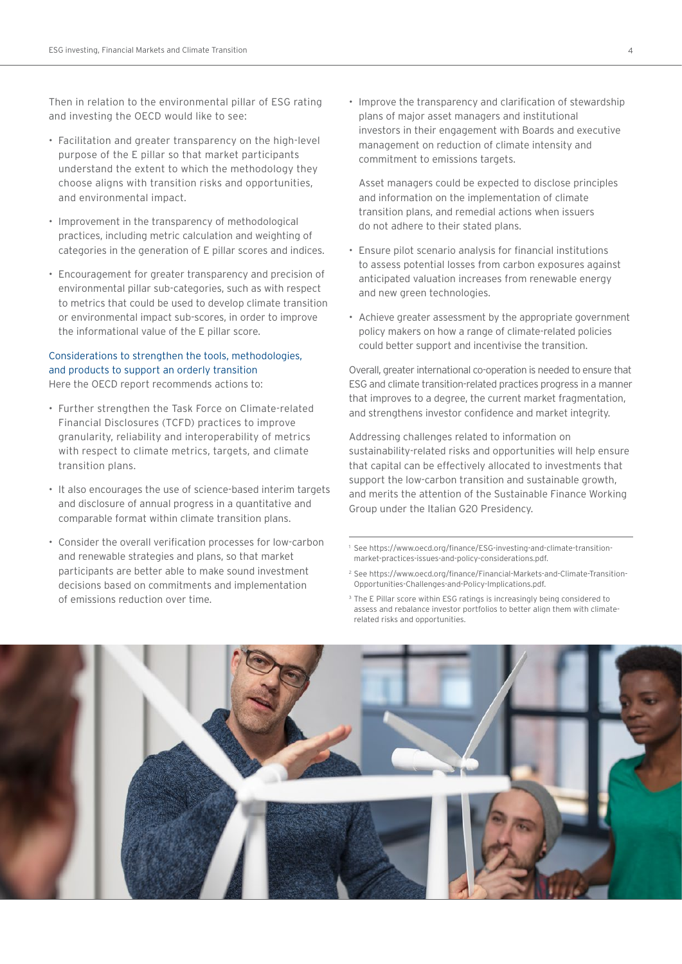Then in relation to the environmental pillar of ESG rating and investing the OECD would like to see:

- Facilitation and greater transparency on the high-level purpose of the E pillar so that market participants understand the extent to which the methodology they choose aligns with transition risks and opportunities, and environmental impact.
- Improvement in the transparency of methodological practices, including metric calculation and weighting of categories in the generation of E pillar scores and indices.
- Encouragement for greater transparency and precision of environmental pillar sub-categories, such as with respect to metrics that could be used to develop climate transition or environmental impact sub-scores, in order to improve the informational value of the E pillar score.

### Considerations to strengthen the tools, methodologies, and products to support an orderly transition Here the OECD report recommends actions to:

- Further strengthen the Task Force on Climate-related Financial Disclosures (TCFD) practices to improve granularity, reliability and interoperability of metrics with respect to climate metrics, targets, and climate transition plans.
- It also encourages the use of science-based interim targets and disclosure of annual progress in a quantitative and comparable format within climate transition plans.
- Consider the overall verification processes for low-carbon and renewable strategies and plans, so that market participants are better able to make sound investment decisions based on commitments and implementation of emissions reduction over time.

• Improve the transparency and clarification of stewardship plans of major asset managers and institutional investors in their engagement with Boards and executive management on reduction of climate intensity and commitment to emissions targets.

Asset managers could be expected to disclose principles and information on the implementation of climate transition plans, and remedial actions when issuers do not adhere to their stated plans.

- Ensure pilot scenario analysis for financial institutions to assess potential losses from carbon exposures against anticipated valuation increases from renewable energy and new green technologies.
- Achieve greater assessment by the appropriate government policy makers on how a range of climate-related policies could better support and incentivise the transition.

Overall, greater international co-operation is needed to ensure that ESG and climate transition-related practices progress in a manner that improves to a degree, the current market fragmentation, and strengthens investor confidence and market integrity.

Addressing challenges related to information on sustainability-related risks and opportunities will help ensure that capital can be effectively allocated to investments that support the low-carbon transition and sustainable growth, and merits the attention of the Sustainable Finance Working Group under the Italian G20 Presidency.

1 See [https://www.oecd.org/finance/ESG-investing-and-climate-transition](https://www.oecd.org/finance/ESG-investing-and-climate-transition-market-practices-issues-and-policy-considerations.pdf)[market-practices-issues-and-policy-considerations.pdf](https://www.oecd.org/finance/ESG-investing-and-climate-transition-market-practices-issues-and-policy-considerations.pdf).

- 2 See [https://www.oecd.org/finance/Financial-Markets-and-Climate-Transition-](https://www.oecd.org/finance/Financial-Markets-and-Climate-Transition-Opportunities-Challenges-and-Policy-Implications.pdf)[Opportunities-Challenges-and-Policy-Implications.pdf.](https://www.oecd.org/finance/Financial-Markets-and-Climate-Transition-Opportunities-Challenges-and-Policy-Implications.pdf)
- <sup>3</sup> The E Pillar score within ESG ratings is increasingly being considered to assess and rebalance investor portfolios to better align them with climaterelated risks and opportunities.